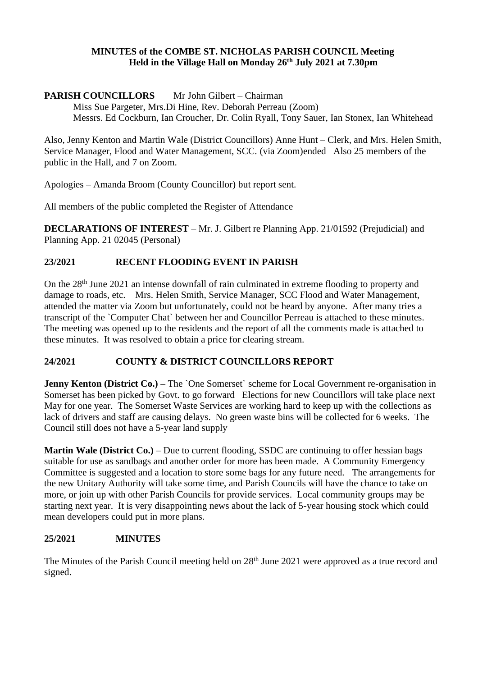#### **MINUTES of the COMBE ST. NICHOLAS PARISH COUNCIL Meeting Held in the Village Hall on Monday 26 th July 2021 at 7.30pm**

## **PARISH COUNCILLORS** Mr John Gilbert – Chairman

Miss Sue Pargeter, Mrs.Di Hine, Rev. Deborah Perreau (Zoom) Messrs. Ed Cockburn, Ian Croucher, Dr. Colin Ryall, Tony Sauer, Ian Stonex, Ian Whitehead

Also, Jenny Kenton and Martin Wale (District Councillors) Anne Hunt – Clerk, and Mrs. Helen Smith, Service Manager, Flood and Water Management, SCC. (via Zoom)ended Also 25 members of the public in the Hall, and 7 on Zoom.

Apologies – Amanda Broom (County Councillor) but report sent.

All members of the public completed the Register of Attendance

**DECLARATIONS OF INTEREST** – Mr. J. Gilbert re Planning App. 21/01592 (Prejudicial) and Planning App. 21 02045 (Personal)

# **23/2021 RECENT FLOODING EVENT IN PARISH**

On the 28<sup>th</sup> June 2021 an intense downfall of rain culminated in extreme flooding to property and damage to roads, etc. Mrs. Helen Smith, Service Manager, SCC Flood and Water Management, attended the matter via Zoom but unfortunately, could not be heard by anyone. After many tries a transcript of the `Computer Chat` between her and Councillor Perreau is attached to these minutes. The meeting was opened up to the residents and the report of all the comments made is attached to these minutes. It was resolved to obtain a price for clearing stream.

## **24/2021 COUNTY & DISTRICT COUNCILLORS REPORT**

**Jenny Kenton (District Co.)** – The `One Somerset` scheme for Local Government re-organisation in Somerset has been picked by Govt. to go forward Elections for new Councillors will take place next May for one year. The Somerset Waste Services are working hard to keep up with the collections as lack of drivers and staff are causing delays. No green waste bins will be collected for 6 weeks. The Council still does not have a 5-year land supply

**Martin Wale (District Co.)** – Due to current flooding, SSDC are continuing to offer hessian bags suitable for use as sandbags and another order for more has been made. A Community Emergency Committee is suggested and a location to store some bags for any future need. The arrangements for the new Unitary Authority will take some time, and Parish Councils will have the chance to take on more, or join up with other Parish Councils for provide services. Local community groups may be starting next year. It is very disappointing news about the lack of 5-year housing stock which could mean developers could put in more plans.

## **25/2021 MINUTES**

The Minutes of the Parish Council meeting held on 28<sup>th</sup> June 2021 were approved as a true record and signed.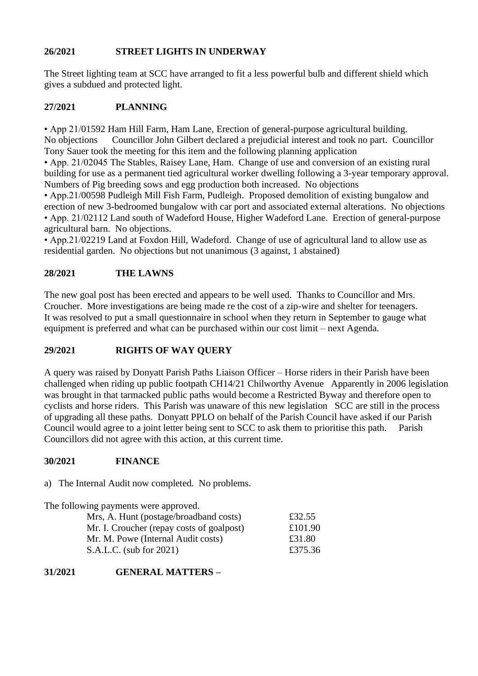## **26/2021 STREET LIGHTS IN UNDERWAY**

The Street lighting team at SCC have arranged to fit a less powerful bulb and different shield which gives a subdued and protected light.

#### **27/2021 PLANNING**

• App 21/01592 Ham Hill Farm, Ham Lane, Erection of general-purpose agricultural building. No objections Councillor John Gilbert declared a prejudicial interest and took no part. Councillor Tony Sauer took the meeting for this item and the following planning application

• App. 21/02045 The Stables, Raisey Lane, Ham. Change of use and conversion of an existing rural building for use as a permanent tied agricultural worker dwelling following a 3-year temporary approval. Numbers of Pig breeding sows and egg production both increased. No objections

• App.21/00598 Pudleigh Mill Fish Farm, Pudleigh. Proposed demolition of existing bungalow and erection of new 3-bedroomed bungalow with car port and associated external alterations. No objections • App. 21/02112 Land south of Wadeford House, Higher Wadeford Lane. Erection of general-purpose agricultural barn. No objections.

• App.21/02219 Land at Foxdon Hill, Wadeford. Change of use of agricultural land to allow use as residential garden. No objections but not unanimous (3 against, 1 abstained)

## **28/2021 THE LAWNS**

The new goal post has been erected and appears to be well used. Thanks to Councillor and Mrs. Croucher. More investigations are being made re the cost of a zip-wire and shelter for teenagers. It was resolved to put a small questionnaire in school when they return in September to gauge what equipment is preferred and what can be purchased within our cost limit – next Agenda.

## **29/2021 RIGHTS OF WAY QUERY**

A query was raised by Donyatt Parish Paths Liaison Officer – Horse riders in their Parish have been challenged when riding up public footpath CH14/21 Chilworthy Avenue Apparently in 2006 legislation was brought in that tarmacked public paths would become a Restricted Byway and therefore open to cyclists and horse riders. This Parish was unaware of this new legislation SCC are still in the process of upgrading all these paths. Donyatt PPLO on behalf of the Parish Council have asked if our Parish Council would agree to a joint letter being sent to SCC to ask them to prioritise this path. Parish Councillors did not agree with this action, at this current time.

## **30/2021 FINANCE**

a) The Internal Audit now completed. No problems.

| The following payments were approved.     |         |
|-------------------------------------------|---------|
| Mrs, A. Hunt (postage/broadband costs)    | £32.55  |
| Mr. I. Croucher (repay costs of goalpost) | £101.90 |
| Mr. M. Powe (Internal Audit costs)        | £31.80  |
| S.A.L.C. (sub for 2021)                   | £375.36 |

## **31/2021 GENERAL MATTERS –**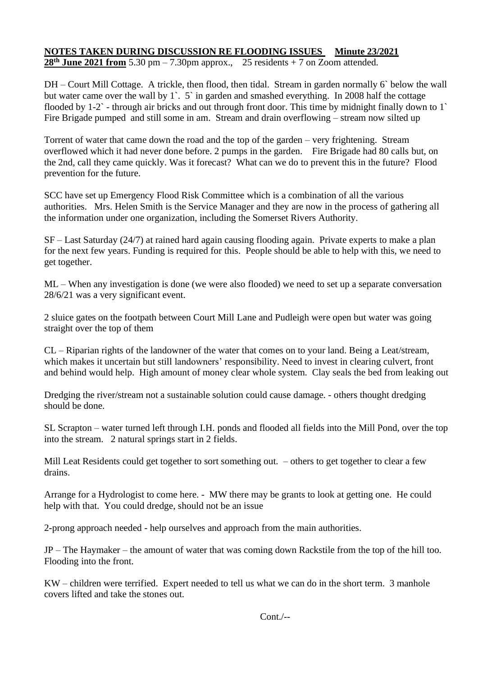# **NOTES TAKEN DURING DISCUSSION RE FLOODING ISSUES Minute 23/2021**

**28<sup>th</sup> June 2021 from** 5.30 pm – 7.30pm approx., 25 residents + 7 on Zoom attended.

DH – Court Mill Cottage. A trickle, then flood, then tidal. Stream in garden normally 6` below the wall but water came over the wall by 1`. 5` in garden and smashed everything. In 2008 half the cottage flooded by 1-2` - through air bricks and out through front door. This time by midnight finally down to 1` Fire Brigade pumped and still some in am. Stream and drain overflowing – stream now silted up

Torrent of water that came down the road and the top of the garden – very frightening. Stream overflowed which it had never done before. 2 pumps in the garden. Fire Brigade had 80 calls but, on the 2nd, call they came quickly. Was it forecast? What can we do to prevent this in the future? Flood prevention for the future.

SCC have set up Emergency Flood Risk Committee which is a combination of all the various authorities. Mrs. Helen Smith is the Service Manager and they are now in the process of gathering all the information under one organization, including the Somerset Rivers Authority.

SF – Last Saturday (24/7) at rained hard again causing flooding again. Private experts to make a plan for the next few years. Funding is required for this. People should be able to help with this, we need to get together.

ML – When any investigation is done (we were also flooded) we need to set up a separate conversation 28/6/21 was a very significant event.

2 sluice gates on the footpath between Court Mill Lane and Pudleigh were open but water was going straight over the top of them

CL – Riparian rights of the landowner of the water that comes on to your land. Being a Leat/stream, which makes it uncertain but still landowners' responsibility. Need to invest in clearing culvert, front and behind would help. High amount of money clear whole system. Clay seals the bed from leaking out

Dredging the river/stream not a sustainable solution could cause damage. - others thought dredging should be done.

SL Scrapton – water turned left through I.H. ponds and flooded all fields into the Mill Pond, over the top into the stream. 2 natural springs start in 2 fields.

Mill Leat Residents could get together to sort something out. – others to get together to clear a few drains.

Arrange for a Hydrologist to come here. - MW there may be grants to look at getting one. He could help with that. You could dredge, should not be an issue

2-prong approach needed - help ourselves and approach from the main authorities.

JP – The Haymaker – the amount of water that was coming down Rackstile from the top of the hill too. Flooding into the front.

KW – children were terrified. Expert needed to tell us what we can do in the short term. 3 manhole covers lifted and take the stones out.